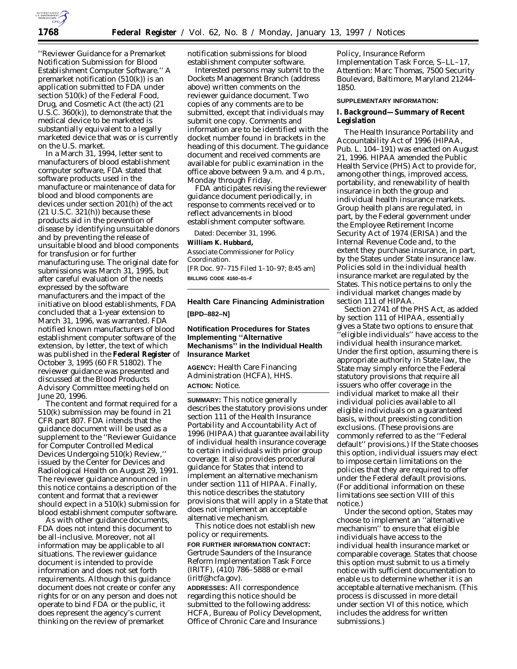

''Reviewer Guidance for a Premarket Notification Submission for Blood Establishment Computer Software.'' A premarket notification (510(k)) is an application submitted to FDA under section 510(k) of the Federal Food, Drug, and Cosmetic Act (the act) (21 U.S.C. 360(k)), to demonstrate that the medical device to be marketed is substantially equivalent to a legally marketed device that was or is currently on the U.S. market.

In a March 31, 1994, letter sent to manufacturers of blood establishment computer software, FDA stated that software products used in the manufacture or maintenance of data for blood and blood components are devices under section 201(h) of the act  $(21$  U.S.C.  $321(h)$ ) because these products aid in the prevention of disease by identifying unsuitable donors and by preventing the release of unsuitable blood and blood components for transfusion or for further manufacturing use. The original date for submissions was March 31, 1995, but after careful evaluation of the needs expressed by the software manufacturers and the impact of the initiative on blood establishments, FDA concluded that a 1-year extension to March 31, 1996, was warranted. FDA notified known manufacturers of blood establishment computer software of the extension, by letter, the text of which was published in the **Federal Register** of October 3, 1995 (60 FR 51802). The reviewer guidance was presented and discussed at the Blood Products Advisory Committee meeting held on June 20, 1996.

The content and format required for a 510(k) submission may be found in 21 CFR part 807. FDA intends that the guidance document will be used as a supplement to the ''Reviewer Guidance for Computer Controlled Medical Devices Undergoing 510(k) Review,'' issued by the Center for Devices and Radiological Health on August 29, 1991. The reviewer guidance announced in this notice contains a description of the content and format that a reviewer should expect in a 510(k) submission for blood establishment computer software.

As with other guidance documents, FDA does not intend this document to be all-inclusive. Moreover, not all information may be applicable to all situations. The reviewer guidance document is intended to provide information and does not set forth requirements. Although this guidance document does not create or confer any rights for or on any person and does not operate to bind FDA or the public, it does represent the agency's current thinking on the review of premarket

notification submissions for blood establishment computer software.

Interested persons may submit to the Dockets Management Branch (address above) written comments on the reviewer guidance document. Two copies of any comments are to be submitted, except that individuals may submit one copy. Comments and information are to be identified with the docket number found in brackets in the heading of this document. The guidance document and received comments are available for public examination in the office above between 9 a.m. and 4 p.m., Monday through Friday.

FDA anticipates revising the reviewer guidance document periodically, in response to comments received or to reflect advancements in blood establishment computer software.

Dated: December 31, 1996. **William K. Hubbard,** *Associate Commissioner for Policy Coordination.* [FR Doc. 97–715 Filed 1–10–97; 8:45 am] **BILLING CODE 4160–01–F**

### **Health Care Financing Administration**

**[BPD–882–N]**

# **Notification Procedures for States Implementing ''Alternative Mechanisms'' in the Individual Health Insurance Market**

**AGENCY:** Health Care Financing Administration (HCFA), HHS. **ACTION:** Notice.

**SUMMARY:** This notice generally describes the statutory provisions under section 111 of the Health Insurance Portability and Accountability Act of 1996 (HIPAA) that guarantee availability of individual health insurance coverage to certain individuals with prior group coverage. It also provides procedural guidance for States that intend to implement an alternative mechanism under section 111 of HIPAA. Finally, this notice describes the statutory provisions that will apply in a State that does not implement an acceptable alternative mechanism.

This notice does not establish new policy or requirements. **FOR FURTHER INFORMATION CONTACT:** Gertrude Saunders of the Insurance Reform Implementation Task Force (IRITF), (410) 786–5888 or e-mail (iritf@hcfa.gov).

**ADDRESSES:** All correspondence regarding this notice should be submitted to the following address: HCFA, Bureau of Policy Development, Office of Chronic Care and Insurance

Policy, Insurance Reform Implementation Task Force, S–LL–17, Attention: Marc Thomas, 7500 Security Boulevard, Baltimore, Maryland 21244– 1850.

#### **SUPPLEMENTARY INFORMATION:**

**I. Background—Summary of Recent Legislation**

The Health Insurance Portability and Accountability Act of 1996 (HIPAA, Pub. L. 104–191) was enacted on August 21, 1996. HIPAA amended the Public Health Service (PHS) Act to provide for, among other things, improved access, portability, and renewability of health insurance in both the group and individual health insurance markets. Group health plans are regulated, in part, by the Federal government under the Employee Retirement Income Security Act of 1974 (ERISA) and the Internal Revenue Code and, to the extent they purchase insurance, in part, by the States under State insurance law. Policies sold in the individual health insurance market are regulated by the States. This notice pertains to only the individual market changes made by section 111 of HIPAA.

Section 2741 of the PHS Act, as added by section 111 of HIPAA, essentially gives a State two options to ensure that 'eligible individuals'' have access to the individual health insurance market. Under the first option, assuming there is appropriate authority in State law, the State may simply enforce the Federal statutory provisions that require all issuers who offer coverage in the individual market to make all their individual policies available to all eligible individuals on a guaranteed basis, without preexisting condition exclusions. (These provisions are commonly referred to as the ''Federal default'' provisions.) If the State chooses this option, individual issuers may elect to impose certain limitations on the policies that they are required to offer under the Federal default provisions. (For additional information on these limitations see section VIII of this notice.)

Under the second option, States may choose to implement an ''alternative mechanism'' to ensure that eligible individuals have access to the individual health insurance market or comparable coverage. States that choose this option must submit to us a timely notice with sufficient documentation to enable us to determine whether it is an acceptable alternative mechanism. (This process is discussed in more detail under section VI of this notice, which includes the address for written submissions.)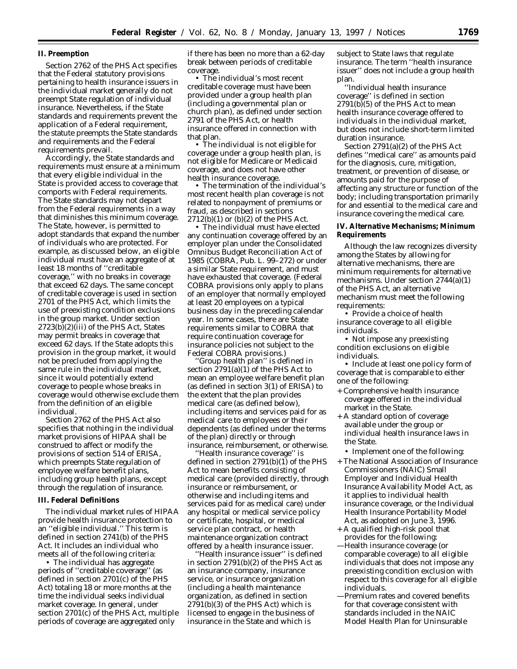# **II. Preemption**

Section 2762 of the PHS Act specifies that the Federal statutory provisions pertaining to health insurance issuers in the individual market generally do not preempt State regulation of individual insurance. Nevertheless, if the State standards and requirements prevent the application of a Federal requirement, the statute preempts the State standards and requirements and the Federal requirements prevail.

Accordingly, the State standards and requirements must ensure at a minimum that every eligible individual in the State is provided access to coverage that comports with Federal requirements. The State standards may not depart from the Federal requirements in a way that diminishes this minimum coverage. The State, however, is permitted to adopt standards that expand the number of individuals who are protected. For example, as discussed below, an eligible individual must have an aggregate of at least 18 months of ''creditable coverage,'' with no breaks in coverage that exceed 62 days. The same concept of creditable coverage is used in section 2701 of the PHS Act, which limits the use of preexisting condition exclusions in the group market. Under section 2723(b)(2)(iii) of the PHS Act, States may permit breaks in coverage that exceed 62 days. If the State adopts this provision in the group market, it would not be precluded from applying the same rule in the individual market, since it would potentially extend coverage to people whose breaks in coverage would otherwise exclude them from the definition of an eligible individual.

Section 2762 of the PHS Act also specifies that nothing in the individual market provisions of HIPAA shall be construed to affect or modify the provisions of section 514 of ERISA, which preempts State regulation of employee welfare benefit plans, including group health plans, except through the regulation of insurance.

#### **III. Federal Definitions**

The individual market rules of HIPAA provide health insurance protection to an ''eligible individual.'' This term is defined in section 2741(b) of the PHS Act. It includes an individual who meets all of the following criteria:

• The individual has aggregate periods of ''creditable coverage'' (as defined in section 2701(c) of the PHS Act) totaling 18 or more months at the time the individual seeks individual market coverage. In general, under section 2701(c) of the PHS Act, multiple periods of coverage are aggregated only

if there has been no more than a 62-day break between periods of creditable coverage.

• The individual's most recent creditable coverage must have been provided under a group health plan (including a governmental plan or church plan), as defined under section 2791 of the PHS Act, or health insurance offered in connection with that plan.

• The individual is not eligible for coverage under a group health plan, is not eligible for Medicare or Medicaid coverage, and does not have other health insurance coverage.

• The termination of the individual's most recent health plan coverage is not related to nonpayment of premiums or fraud, as described in sections 2712(b)(1) or (b)(2) of the PHS Act.

• The individual must have elected any continuation coverage offered by an employer plan under the Consolidated Omnibus Budget Reconciliation Act of 1985 (COBRA, Pub. L. 99–272) or under a similar State requirement, and must have exhausted that coverage. (Federal COBRA provisions only apply to plans of an employer that normally employed at least 20 employees on a typical business day in the preceding calendar year. In some cases, there are State requirements similar to COBRA that require continuation coverage for insurance policies not subject to the Federal COBRA provisions.)

Group health plan" is defined in section 2791(a)(1) of the PHS Act to mean an employee welfare benefit plan (as defined in section 3(1) of ERISA) to the extent that the plan provides medical care (as defined below), including items and services paid for as medical care to employees or their dependents (as defined under the terms of the plan) directly or through insurance, reimbursement, or otherwise.

'Health insurance coverage'' is defined in section 2791(b)(1) of the PHS Act to mean benefits consisting of medical care (provided directly, through insurance or reimbursement, or otherwise and including items and services paid for as medical care) under any hospital or medical service policy or certificate, hospital, or medical service plan contract, or health maintenance organization contract offered by a health insurance issuer.

''Health insurance issuer'' is defined in section 2791(b)(2) of the PHS Act as an insurance company, insurance service, or insurance organization (including a health maintenance organization, as defined in section 2791(b)(3) of the PHS Act) which is licensed to engage in the business of insurance in the State and which is

subject to State laws that regulate insurance. The term ''health insurance issuer'' does not include a group health plan.

''Individual health insurance coverage'' is defined in section 2791(b)(5) of the PHS Act to mean health insurance coverage offered to individuals in the individual market, but does not include short-term limited duration insurance.

Section 2791(a)(2) of the PHS Act defines ''medical care'' as amounts paid for the diagnosis, cure, mitigation, treatment, or prevention of disease, or amounts paid for the purpose of affecting any structure or function of the body; including transportation primarily for and essential to the medical care and insurance covering the medical care.

**IV. Alternative Mechanisms; Minimum Requirements**

Although the law recognizes diversity among the States by allowing for alternative mechanisms, there are minimum requirements for alternative mechanisms. Under section 2744(a)(1) of the PHS Act, an alternative mechanism must meet the following requirements:

• Provide a choice of health insurance coverage to all eligible individuals.

• Not impose any preexisting condition exclusions on eligible individuals.

• Include at least one policy form of coverage that is comparable to either one of the following:

- + Comprehensive health insurance coverage offered in the individual market in the State.
- + A standard option of coverage available under the group or individual health insurance laws in the State.

• Implement one of the following:

- + The National Association of Insurance Commissioners (NAIC) Small Employer and Individual Health Insurance Availability Model Act, as it applies to individual health insurance coverage, *or* the Individual Health Insurance Portability Model Act, as adopted on June 3, 1996.
- + A qualified high-risk pool that provides for the following:
- —Health insurance coverage (or comparable coverage) to all eligible individuals that does not impose any preexisting condition exclusion with respect to this coverage for all eligible individuals.
- —Premium rates and covered benefits for that coverage consistent with standards included in the NAIC Model Health Plan for Uninsurable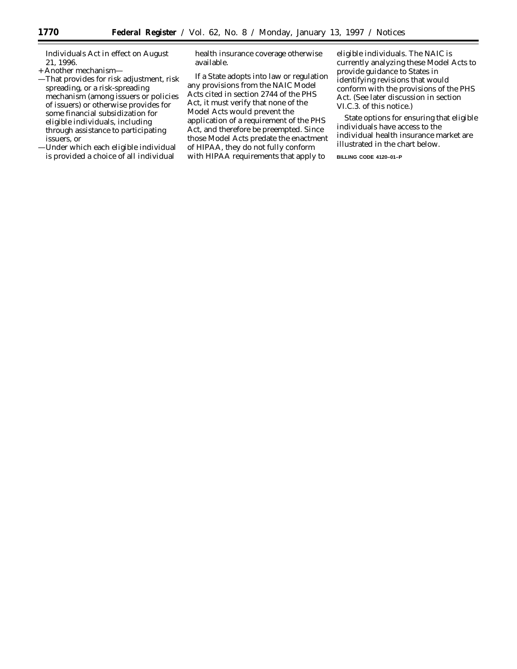Individuals Act in effect on August 21, 1996.

- + Another mechanism—
- —That provides for risk adjustment, risk spreading, or a risk-spreading mechanism (among issuers or policies of issuers) or otherwise provides for some financial subsidization for eligible individuals, including through assistance to participating issuers, or
- —Under which each eligible individual is provided a choice of all individual

health insurance coverage otherwise available.

If a State adopts into law or regulation any provisions from the NAIC Model Acts cited in section 2744 of the PHS Act, it must verify that none of the Model Acts would prevent the application of a requirement of the PHS Act, and therefore be preempted. Since those Model Acts predate the enactment of HIPAA, they do not fully conform with HIPAA requirements that apply to

eligible individuals. The NAIC is currently analyzing these Model Acts to provide guidance to States in identifying revisions that would conform with the provisions of the PHS Act. (See later discussion in section VI.C.3. of this notice.)

State options for ensuring that eligible individuals have access to the individual health insurance market are illustrated in the chart below.

**BILLING CODE 4120–01–P**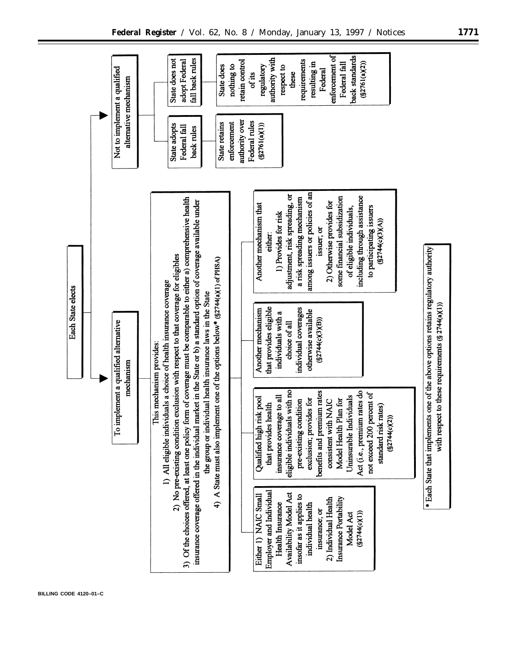

**BILLING CODE 4120–01–C**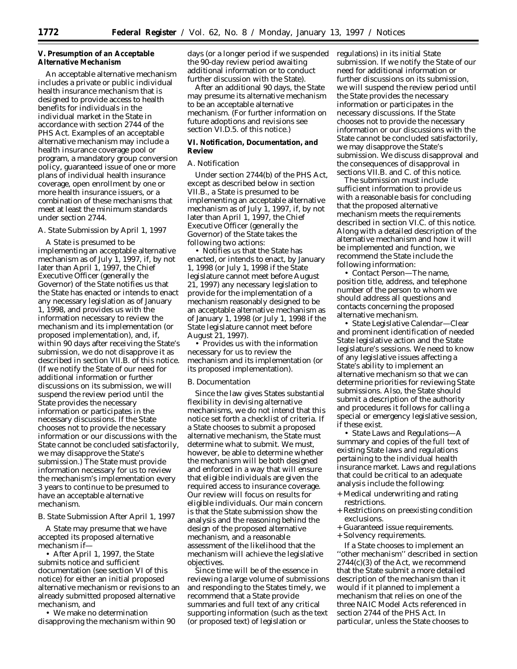# **V. Presumption of an Acceptable Alternative Mechanism**

An acceptable alternative mechanism includes a private or public individual health insurance mechanism that is designed to provide access to health benefits for individuals in the individual market in the State in accordance with section 2744 of the PHS Act. Examples of an acceptable alternative mechanism may include a health insurance coverage pool or program, a mandatory group conversion policy, guaranteed issue of one or more plans of individual health insurance coverage, open enrollment by one or more health insurance issuers, or a combination of these mechanisms that meet at least the minimum standards under section 2744.

# *A. State Submission by April 1, 1997*

A State is presumed to be implementing an acceptable alternative mechanism as of July 1, 1997, if, by not later than April 1, 1997, the Chief Executive Officer (generally the Governor) of the State notifies us that the State has enacted or intends to enact any necessary legislation as of January 1, 1998, and provides us with the information necessary to review the mechanism and its implementation (or proposed implementation), and, if, within 90 days after receiving the State's submission, we do not disapprove it as described in section VII.B. of this notice. (If we notify the State of our need for additional information or further discussions on its submission, we will suspend the review period until the State provides the necessary information or participates in the necessary discussions. If the State chooses not to provide the necessary information or our discussions with the State cannot be concluded satisfactorily, we may disapprove the State's submission.) The State must provide information necessary for us to review the mechanism's implementation every 3 years to continue to be presumed to have an acceptable alternative mechanism.

### *B. State Submission After April 1, 1997*

A State may presume that we have accepted its proposed alternative mechanism if—

• After April 1, 1997, the State submits notice and sufficient documentation (see section VI of this notice) for either an initial proposed alternative mechanism or revisions to an already submitted proposed alternative mechanism, and

• We make no determination disapproving the mechanism within 90 days (or a longer period if we suspended the 90-day review period awaiting additional information or to conduct further discussion with the State).

After an additional 90 days, the State may presume its alternative mechanism to be an acceptable alternative mechanism. (For further information on future adoptions and revisions see section VI.D.5. of this notice.)

**VI. Notification, Documentation, and Review**

### *A. Notification*

Under section 2744(b) of the PHS Act, except as described below in section VII.B., a State is presumed to be implementing an acceptable alternative mechanism as of July 1, 1997, if, by not later than April 1, 1997, the Chief Executive Officer (generally the Governor) of the State takes the following two actions:

• Notifies us that the State has enacted, or intends to enact, by January 1, 1998 (or July 1, 1998 if the State legislature cannot meet before August 21, 1997) any necessary legislation to provide for the implementation of a mechanism reasonably designed to be an acceptable alternative mechanism as of January 1, 1998 (or July 1, 1998 if the State legislature cannot meet before August 21, 1997).

• Provides us with the information necessary for us to review the mechanism and its implementation (or its proposed implementation).

#### *B. Documentation*

Since the law gives States substantial flexibility in devising alternative mechanisms, we do not intend that this notice set forth a checklist of criteria. If a State chooses to submit a proposed alternative mechanism, the State must determine what to submit. We must, however, be able to determine whether the mechanism will be both designed and enforced in a way that will ensure that eligible individuals are given the required access to insurance coverage. Our review will focus on results for eligible individuals. Our main concern is that the State submission show the analysis and the reasoning behind the design of the proposed alternative mechanism, and a reasonable assessment of the likelihood that the mechanism will achieve the legislative objectives.

Since time will be of the essence in reviewing a large volume of submissions and responding to the States timely, we recommend that a State provide summaries and full text of any critical supporting information (such as the text (or proposed text) of legislation or

regulations) in its initial State submission. If we notify the State of our need for additional information or further discussions on its submission, we will suspend the review period until the State provides the necessary information or participates in the necessary discussions. If the State chooses not to provide the necessary information or our discussions with the State cannot be concluded satisfactorily, we may disapprove the State's submission. We discuss disapproval and the consequences of disapproval in sections VII.B. and C. of this notice.

The submission must include sufficient information to provide us with a reasonable basis for concluding that the proposed alternative mechanism meets the requirements described in section VI.C. of this notice. Along with a detailed description of the alternative mechanism and how it will be implemented and function, we recommend the State include the following information:

• *Contact Person*—The name, position title, address, and telephone number of the person to whom we should address all questions and contacts concerning the proposed alternative mechanism.

• *State Legislative Calendar*—Clear and prominent identification of needed State legislative action and the State legislature's sessions. We need to know of any legislative issues affecting a State's ability to implement an alternative mechanism so that we can determine priorities for reviewing State submissions. Also, the State should submit a description of the authority and procedures it follows for calling a special or emergency legislative session, if these exist.

• *State Laws and Regulations*—A summary and copies of the full text of existing State laws and regulations pertaining to the individual health insurance market. Laws and regulations that could be critical to an adequate analysis include the following:

- + Medical underwriting and rating restrictions.
- + Restrictions on preexisting condition exclusions.
- + Guaranteed issue requirements.
- + Solvency requirements.

If a State chooses to implement an ''other mechanism'' described in section 2744(c)(3) of the Act, we recommend that the State submit a more detailed description of the mechanism than it would if it planned to implement a mechanism that relies on one of the three NAIC Model Acts referenced in section 2744 of the PHS Act. In particular, unless the State chooses to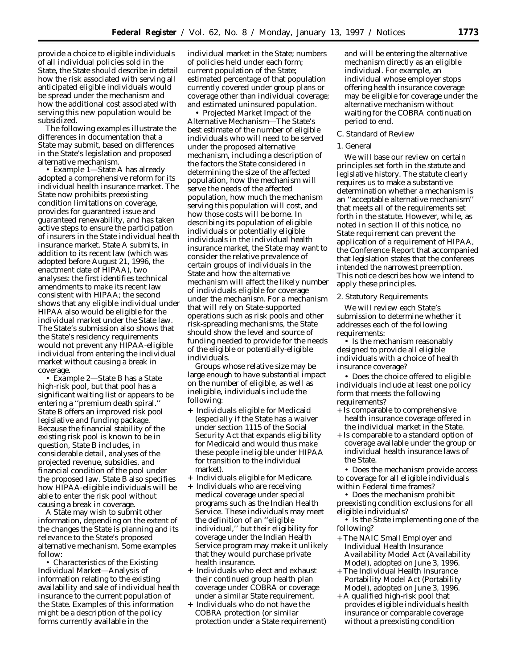provide a choice to eligible individuals of all individual policies sold in the State, the State should describe in detail how the risk associated with serving all anticipated eligible individuals would be spread under the mechanism and how the additional cost associated with serving this new population would be subsidized.

The following examples illustrate the differences in documentation that a State may submit, based on differences in the State's legislation and proposed alternative mechanism.

• *Example 1*—State A has already adopted a comprehensive reform for its individual health insurance market. The State now prohibits preexisting condition limitations on coverage, provides for guaranteed issue and guaranteed renewability, and has taken active steps to ensure the participation of insurers in the State individual health insurance market. State A submits, in addition to its recent law (which was adopted before August 21, 1996, the enactment date of HIPAA), two analyses: the first identifies technical amendments to make its recent law consistent with HIPAA; the second shows that any eligible individual under HIPAA also would be eligible for the individual market under the State law. The State's submission also shows that the State's residency requirements would not prevent any HIPAA-eligible individual from entering the individual market without causing a break in coverage.

• *Example 2*—State B has a State high-risk pool, but that pool has a significant waiting list or appears to be entering a ''premium death spiral.'' State B offers an improved risk pool legislative and funding package. Because the financial stability of the existing risk pool is known to be in question, State B includes, in considerable detail, analyses of the projected revenue, subsidies, and financial condition of the pool under the proposed law. State B also specifies how HIPAA-eligible individuals will be able to enter the risk pool without causing a break in coverage.

A State may wish to submit other information, depending on the extent of the changes the State is planning and its relevance to the State's proposed alternative mechanism. Some examples follow:

• *Characteristics of the Existing Individual Market*—Analysis of information relating to the existing availability and sale of individual health insurance to the current population of the State. Examples of this information might be a description of the policy forms currently available in the

individual market in the State; numbers of policies held under each form; current population of the State; estimated percentage of that population currently covered under group plans or coverage other than individual coverage; and estimated uninsured population.

• *Projected Market Impact of the Alternative Mechanism*—The State's best estimate of the number of eligible individuals who will need to be served under the proposed alternative mechanism, including a description of the factors the State considered in determining the size of the affected population, how the mechanism will serve the needs of the affected population, how much the mechanism serving this population will cost, and how those costs will be borne. In describing its population of eligible individuals or potentially eligible individuals in the individual health insurance market, the State may want to consider the relative prevalence of certain groups of individuals in the State and how the alternative mechanism will affect the likely number of individuals eligible for coverage under the mechanism. For a mechanism that will rely on State-supported operations such as risk pools and other risk-spreading mechanisms, the State should show the level and source of funding needed to provide for the needs of the eligible or potentially-eligible individuals.

Groups whose relative size may be large enough to have substantial impact on the number of eligible, as well as ineligible, individuals include the following:

- + Individuals eligible for Medicaid (especially if the State has a waiver under section 1115 of the Social Security Act that expands eligibility for Medicaid and would thus make these people ineligible under HIPAA for transition to the individual market).
- + Individuals eligible for Medicare.
- + Individuals who are receiving medical coverage under special programs such as the Indian Health Service. These individuals may meet the definition of an ''eligible individual,'' but their eligibility for coverage under the Indian Health Service program may make it unlikely that they would purchase private health insurance.
- + Individuals who elect and exhaust their continued group health plan coverage under COBRA or coverage under a similar State requirement.
- + Individuals who do not have the COBRA protection (or similar protection under a State requirement)

and will be entering the alternative mechanism directly as an eligible individual. For example, an individual whose employer stops offering health insurance coverage may be eligible for coverage under the alternative mechanism without waiting for the COBRA continuation period to end.

#### C. Standard of Review

#### 1. General

We will base our review on certain principles set forth in the statute and legislative history. The statute clearly requires us to make a substantive determination whether a mechanism is an ''acceptable alternative mechanism'' that meets all of the requirements set forth in the statute. However, while, as noted in section II of this notice, no State requirement can prevent the application of a requirement of HIPAA, the Conference Report that accompanied that legislation states that the conferees intended the narrowest preemption. This notice describes how we intend to apply these principles.

# 2. Statutory Requirements

We will review each State's submission to determine whether it addresses *each* of the following requirements:

• Is the mechanism reasonably designed to provide all eligible individuals with a choice of health insurance coverage?

• Does the choice offered to eligible individuals include at least one policy form that meets the following requirements?

- + Is comparable to comprehensive health insurance coverage offered in the individual market in the State.
- + Is comparable to a standard option of coverage available under the group or individual health insurance laws of the State.

• Does the mechanism provide access to coverage for all eligible individuals within Federal time frames?

- Does the mechanism prohibit preexisting condition exclusions for all eligible individuals?
- Is the State implementing one of the following?
- + The NAIC Small Employer and Individual Health Insurance Availability Model Act (Availability Model), adopted on June 3, 1996.
- + The Individual Health Insurance Portability Model Act (Portability Model), adopted on June 3, 1996.
- + A qualified high-risk pool that provides eligible individuals health insurance or comparable coverage without a preexisting condition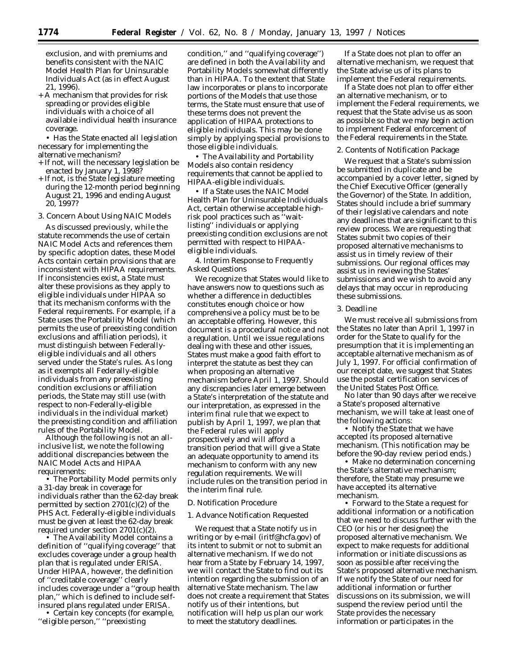exclusion, and with premiums and benefits consistent with the NAIC Model Health Plan for Uninsurable Individuals Act (as in effect August 21, 1996).

+ A mechanism that provides for risk spreading or provides eligible individuals with a choice of all available individual health insurance coverage.

• Has the State enacted all legislation necessary for implementing the alternative mechanism?

- + If not, will the necessary legislation be enacted by January 1, 1998?
- + If not, is the State legislature meeting during the 12-month period beginning August 21, 1996 and ending August 20, 1997?
- 3. Concern About Using NAIC Models

As discussed previously, while the statute recommends the use of certain NAIC Model Acts and references them by specific adoption dates, these Model Acts contain certain provisions that are inconsistent with HIPAA requirements. If inconsistencies exist, a State must alter these provisions as they apply to eligible individuals under HIPAA so that its mechanism conforms with the Federal requirements. For example, if a State uses the Portability Model (which permits the use of preexisting condition exclusions and affiliation periods), it must distinguish between Federallyeligible individuals and all others served under the State's rules. As long as it exempts all Federally-eligible individuals from any preexisting condition exclusions or affiliation periods, the State may still use (with respect to non-Federally-eligible individuals in the individual market) the preexisting condition and affiliation rules of the Portability Model.

Although the following is not an allinclusive list, we note the following additional discrepancies between the NAIC Model Acts and HIPAA requirements:

• The Portability Model permits only a 31-day break in coverage for individuals rather than the 62-day break permitted by section 2701(c)(2) of the PHS Act. Federally-eligible individuals must be given at least the 62-day break required under section 2701(c)(2).

• The Availability Model contains a definition of ''qualifying coverage'' that excludes coverage under a group health plan that is regulated under ERISA. Under HIPAA, however, the definition of ''creditable coverage'' clearly includes coverage under a ''group health plan,'' which is defined to include selfinsured plans regulated under ERISA. • Certain key concepts (for example,

''eligible person,'' ''preexisting

condition,'' and ''qualifying coverage'') are defined in both the Availability and Portability Models somewhat differently than in HIPAA. To the extent that State law incorporates or plans to incorporate portions of the Models that use those terms, the State must ensure that use of these terms does not prevent the application of HIPAA protections to eligible individuals. This may be done simply by applying special provisions to those eligible individuals.

• The Availability and Portability Models also contain residency requirements that cannot be applied to HIPAA-eligible individuals.

• If a State uses the NAIC Model Health Plan for Uninsurable Individuals Act, certain otherwise acceptable highrisk pool practices such as ''waitlisting'' individuals or applying preexisting condition exclusions are not permitted with respect to HIPAAeligible individuals.

4. Interim Response to Frequently Asked Questions

We recognize that States would like to have answers now to questions such as whether a difference in deductibles constitutes enough choice or how comprehensive a policy must be to be an acceptable offering. However, this document is a procedural notice and not a regulation. Until we issue regulations dealing with these and other issues, States must make a good faith effort to interpret the statute as best they can when proposing an alternative mechanism before April 1, 1997. Should any discrepancies later emerge between a State's interpretation of the statute and our interpretation, as expressed in the interim final rule that we expect to publish by April 1, 1997, we plan that the Federal rules will apply prospectively and will afford a transition period that will give a State an adequate opportunity to amend its mechanism to conform with any new regulation requirements. We will include rules on the transition period in the interim final rule.

#### *D. Notification Procedure*

#### 1. Advance Notification Requested

We request that a State notify us in writing or by e-mail (iritf@hcfa.gov) of its intent to submit or not to submit an alternative mechanism. If we do not hear from a State by February 14, 1997, we will contact the State to find out its intention regarding the submission of an alternative State mechanism. The law does not create a requirement that States notify us of their intentions, but notification will help us plan our work to meet the statutory deadlines.

If a State does not plan to offer an alternative mechanism, we request that the State advise us of its plans to implement the Federal requirements.

If a State does not plan to offer either an alternative mechanism, or to implement the Federal requirements, we request that the State advise us as soon as possible so that we may begin action to implement Federal enforcement of the Federal requirements in the State.

### 2. Contents of Notification Package

We request that a State's submission be submitted in duplicate and be accompanied by a cover letter, signed by the Chief Executive Officer (generally the Governor) of the State. In addition, States should include a brief summary of their legislative calendars and note any deadlines that are significant to this review process. We are requesting that States submit two copies of their proposed alternative mechanisms to assist us in timely review of their submissions. Our regional offices may assist us in reviewing the States' submissions and we wish to avoid any delays that may occur in reproducing these submissions.

### 3. Deadline

We must receive all submissions from the States no later than April 1, 1997 in order for the State to qualify for the presumption that it is implementing an acceptable alternative mechanism as of July 1, 1997. For official confirmation of our receipt date, we suggest that States use the postal certification services of the United States Post Office.

No later than 90 days after we receive a State's proposed alternative mechanism, we will take at least one of the following actions:

• Notify the State that we have accepted its proposed alternative mechanism. (This notification may be before the 90-day review period ends.)

• Make no determination concerning the State's alternative mechanism; therefore, the State may presume we have accepted its alternative mechanism.

• Forward to the State a request for additional information or a notification that we need to discuss further with the CEO (or his or her designee) the proposed alternative mechanism. We expect to make requests for additional information or initiate discussions as soon as possible after receiving the State's proposed alternative mechanism. If we notify the State of our need for additional information or further discussions on its submission, we will suspend the review period until the State provides the necessary information or participates in the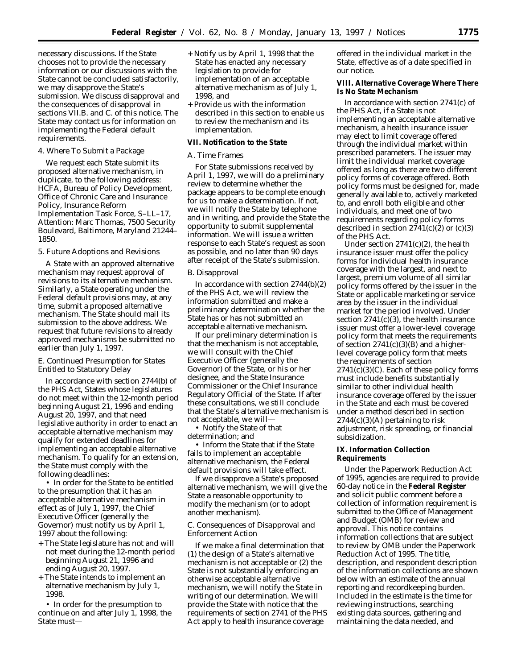necessary discussions. If the State chooses not to provide the necessary information or our discussions with the State cannot be concluded satisfactorily, we may disapprove the State's submission. We discuss disapproval and the consequences of disapproval in sections VII.B. and C. of this notice. The State may contact us for information on implementing the Federal default requirements.

#### 4. Where To Submit a Package

We request each State submit its proposed alternative mechanism, in duplicate, to the following address: HCFA, Bureau of Policy Development, Office of Chronic Care and Insurance Policy, Insurance Reform Implementation Task Force, S–LL–17, Attention: Marc Thomas, 7500 Security Boulevard, Baltimore, Maryland 21244– 1850.

#### 5. Future Adoptions and Revisions

A State with an approved alternative mechanism may request approval of revisions to its alternative mechanism. Similarly, a State operating under the Federal default provisions may, at any time, submit a proposed alternative mechanism. The State should mail its submission to the above address. We request that future revisions to already approved mechanisms be submitted no earlier than July 1, 1997.

# *E. Continued Presumption for States Entitled to Statutory Delay*

In accordance with section 2744(b) of the PHS Act, States whose legislatures do not meet within the 12-month period beginning August 21, 1996 and ending August 20, 1997, and that need legislative authority in order to enact an acceptable alternative mechanism may qualify for extended deadlines for implementing an acceptable alternative mechanism. To qualify for an extension, the State must comply with the following deadlines:

• In order for the State to be entitled to the presumption that it has an acceptable alternative mechanism in effect as of July 1, 1997, the Chief Executive Officer (generally the Governor) must notify us by April 1, 1997 about the following:

- + The State legislature has not and will not meet during the 12-month period beginning August 21, 1996 and ending August 20, 1997.
- + The State intends to implement an alternative mechanism by July 1, 1998.

• In order for the presumption to continue on and after July 1, 1998, the State must—

- + Notify us by April 1, 1998 that the State has enacted any necessary legislation to provide for implementation of an acceptable alternative mechanism as of July 1, 1998, and
- + Provide us with the information described in this section to enable us to review the mechanism and its implementation.

# **VII. Notification to the State**

#### *A. Time Frames*

For State submissions received by April 1, 1997, we will do a preliminary review to determine whether the package appears to be complete enough for us to make a determination. If not, we will notify the State by telephone and in writing, and provide the State the opportunity to submit supplemental information. We will issue a written response to each State's request as soon as possible, and no later than 90 days after receipt of the State's submission.

### *B. Disapproval*

In accordance with section 2744(b)(2) of the PHS Act, we will review the information submitted and make a preliminary determination whether the State has or has not submitted an acceptable alternative mechanism.

If our preliminary determination is that the mechanism is not acceptable, we will consult with the Chief Executive Officer (generally the Governor) of the State, or his or her designee, and the State Insurance Commissioner or the Chief Insurance Regulatory Official of the State. If after these consultations, we still conclude that the State's alternative mechanism is not acceptable, we will—

• Notify the State of that determination; and

• Inform the State that if the State fails to implement an acceptable alternative mechanism, the Federal default provisions will take effect.

If we disapprove a State's proposed alternative mechanism, we will give the State a reasonable opportunity to modify the mechanism (or to adopt another mechanism).

# *C. Consequences of Disapproval and Enforcement Action*

If we make a final determination that (1) the design of a State's alternative mechanism is not acceptable or (2) the State is not substantially enforcing an otherwise acceptable alternative mechanism, we will notify the State in writing of our determination. We will provide the State with notice that the requirements of section 2741 of the PHS Act apply to health insurance coverage

offered in the individual market in the State, effective as of a date specified in our notice.

**VIII. Alternative Coverage Where There Is No State Mechanism**

In accordance with section 2741(c) of the PHS Act, if a State is not implementing an acceptable alternative mechanism, a health insurance issuer may elect to limit coverage offered through the individual market within prescribed parameters. The issuer may limit the individual market coverage offered as long as there are two different policy forms of coverage offered. Both policy forms must be designed for, made generally available to, actively marketed to, and enroll both eligible and other individuals, and meet one of two requirements regarding policy forms described in section  $2741(c)(2)$  or  $(c)(3)$ of the PHS Act.

Under section  $2741(c)(2)$ , the health insurance issuer must offer the policy forms for individual health insurance coverage with the largest, and next to largest, premium volume of all similar policy forms offered by the issuer in the State or applicable marketing or service area by the issuer in the individual market for the period involved. Under section  $2741(c)(3)$ , the health insurance issuer must offer a lower-level coverage policy form that meets the requirements of section  $2741(c)(3)(B)$  and a higherlevel coverage policy form that meets the requirements of section  $2741(c)(3)(C)$ . Each of these policy forms must include benefits substantially similar to other individual health insurance coverage offered by the issuer in the State and each must be covered under a method described in section  $2744(c)(3)$ (A) pertaining to risk adjustment, risk spreading, or financial subsidization.

### **IX. Information Collection Requirements**

Under the Paperwork Reduction Act of 1995, agencies are required to provide 60-day notice in the **Federal Register** and solicit public comment before a collection of information requirement is submitted to the Office of Management and Budget (OMB) for review and approval. This notice contains information collections that are subject to review by OMB under the Paperwork Reduction Act of 1995. The title, description, and respondent description of the information collections are shown below with an estimate of the annual reporting and recordkeeping burden. Included in the estimate is the time for reviewing instructions, searching existing data sources, gathering and maintaining the data needed, and